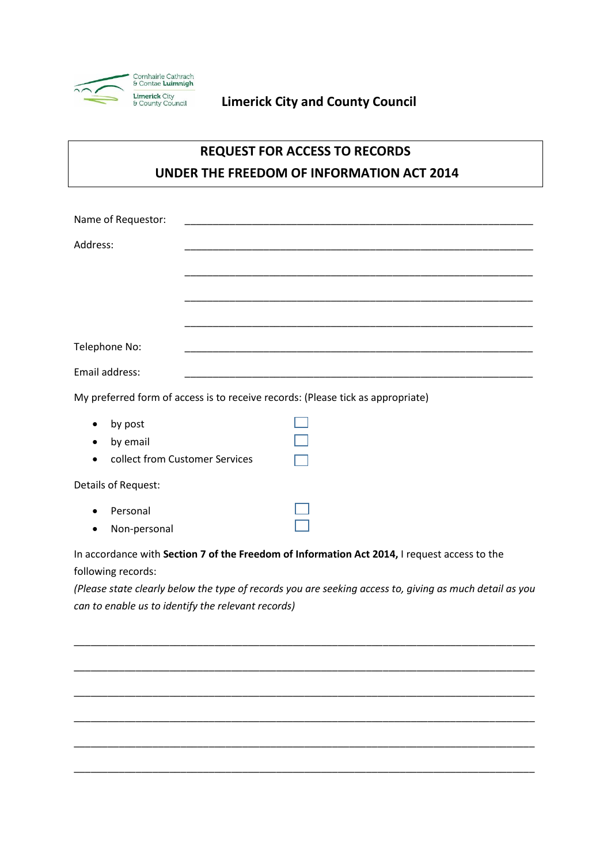

## **Limerick City and County Council**

## **REQUEST FOR ACCESS TO RECORDS UNDER THE FREEDOM OF INFORMATION ACT 2014**

|                                                                                                                                                               | Name of Requestor:             |  |  |  |  |
|---------------------------------------------------------------------------------------------------------------------------------------------------------------|--------------------------------|--|--|--|--|
| Address:                                                                                                                                                      |                                |  |  |  |  |
|                                                                                                                                                               |                                |  |  |  |  |
|                                                                                                                                                               |                                |  |  |  |  |
|                                                                                                                                                               |                                |  |  |  |  |
| Telephone No:                                                                                                                                                 |                                |  |  |  |  |
| Email address:                                                                                                                                                |                                |  |  |  |  |
| My preferred form of access is to receive records: (Please tick as appropriate)                                                                               |                                |  |  |  |  |
|                                                                                                                                                               | by post                        |  |  |  |  |
|                                                                                                                                                               | by email                       |  |  |  |  |
|                                                                                                                                                               | collect from Customer Services |  |  |  |  |
| Details of Request:                                                                                                                                           |                                |  |  |  |  |
|                                                                                                                                                               | Personal                       |  |  |  |  |
|                                                                                                                                                               | Non-personal                   |  |  |  |  |
| In accordance with Section 7 of the Freedom of Information Act 2014, I request access to the                                                                  |                                |  |  |  |  |
| following records:                                                                                                                                            |                                |  |  |  |  |
| (Please state clearly below the type of records you are seeking access to, giving as much detail as you<br>can to enable us to identify the relevant records) |                                |  |  |  |  |
|                                                                                                                                                               |                                |  |  |  |  |

\_\_\_\_\_\_\_\_\_\_\_\_\_\_\_\_\_\_\_\_\_\_\_\_\_\_\_\_\_\_\_\_\_\_\_\_\_\_\_\_\_\_\_\_\_\_\_\_\_\_\_\_\_\_\_\_\_\_\_\_\_\_\_\_\_\_\_\_\_\_\_\_\_\_\_\_\_\_\_\_\_\_

\_\_\_\_\_\_\_\_\_\_\_\_\_\_\_\_\_\_\_\_\_\_\_\_\_\_\_\_\_\_\_\_\_\_\_\_\_\_\_\_\_\_\_\_\_\_\_\_\_\_\_\_\_\_\_\_\_\_\_\_\_\_\_\_\_\_\_\_\_\_\_\_\_\_\_\_\_\_\_\_\_\_

\_\_\_\_\_\_\_\_\_\_\_\_\_\_\_\_\_\_\_\_\_\_\_\_\_\_\_\_\_\_\_\_\_\_\_\_\_\_\_\_\_\_\_\_\_\_\_\_\_\_\_\_\_\_\_\_\_\_\_\_\_\_\_\_\_\_\_\_\_\_\_\_\_\_\_\_\_\_\_\_\_\_

\_\_\_\_\_\_\_\_\_\_\_\_\_\_\_\_\_\_\_\_\_\_\_\_\_\_\_\_\_\_\_\_\_\_\_\_\_\_\_\_\_\_\_\_\_\_\_\_\_\_\_\_\_\_\_\_\_\_\_\_\_\_\_\_\_\_\_\_\_\_\_\_\_\_\_\_\_\_\_\_\_\_

\_\_\_\_\_\_\_\_\_\_\_\_\_\_\_\_\_\_\_\_\_\_\_\_\_\_\_\_\_\_\_\_\_\_\_\_\_\_\_\_\_\_\_\_\_\_\_\_\_\_\_\_\_\_\_\_\_\_\_\_\_\_\_\_\_\_\_\_\_\_\_\_\_\_\_\_\_\_\_\_\_\_

\_\_\_\_\_\_\_\_\_\_\_\_\_\_\_\_\_\_\_\_\_\_\_\_\_\_\_\_\_\_\_\_\_\_\_\_\_\_\_\_\_\_\_\_\_\_\_\_\_\_\_\_\_\_\_\_\_\_\_\_\_\_\_\_\_\_\_\_\_\_\_\_\_\_\_\_\_\_\_\_\_\_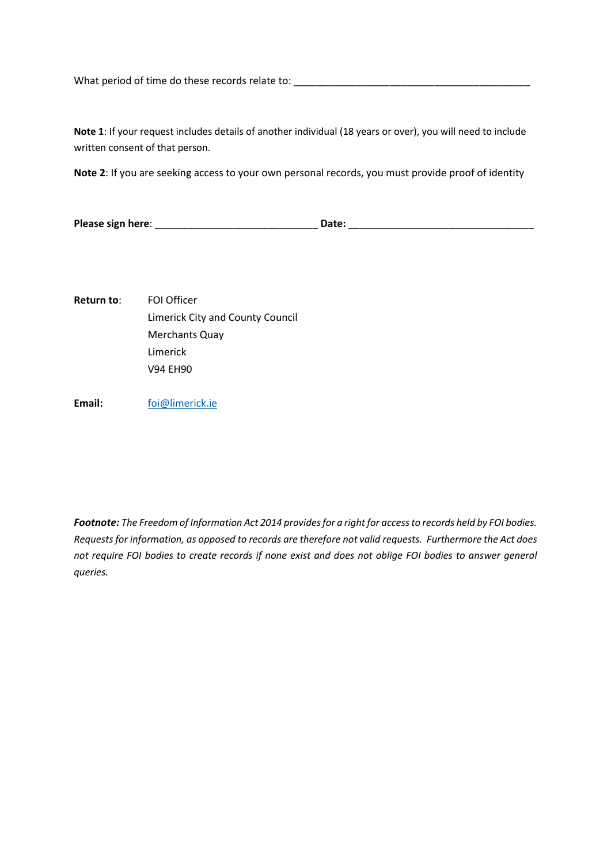What period of time do these records relate to: \_\_\_\_\_\_\_\_\_\_\_\_\_\_\_\_\_\_\_\_\_\_\_\_\_\_\_\_\_\_\_\_\_\_\_\_\_\_\_\_\_\_

**Note 1**: If your request includes details of another individual (18 years or over), you will need to include written consent of that person.

**Note 2**: If you are seeking access to your own personal records, you must provide proof of identity

**Please sign here**: \_\_\_\_\_\_\_\_\_\_\_\_\_\_\_\_\_\_\_\_\_\_\_\_\_\_\_\_\_ **Date:** \_\_\_\_\_\_\_\_\_\_\_\_\_\_\_\_\_\_\_\_\_\_\_\_\_\_\_\_\_\_\_\_\_

**Return to**: FOI Officer Limerick City and County Council Merchants Quay Limerick V94 EH90

**Email:** [foi@limerick.ie](mailto:foi@limerick.ie)

*Footnote: The Freedom of Information Act 2014 provides for a right for access to records held by FOI bodies. Requests for information, as opposed to records are therefore not valid requests. Furthermore the Act does not require FOI bodies to create records if none exist and does not oblige FOI bodies to answer general queries.*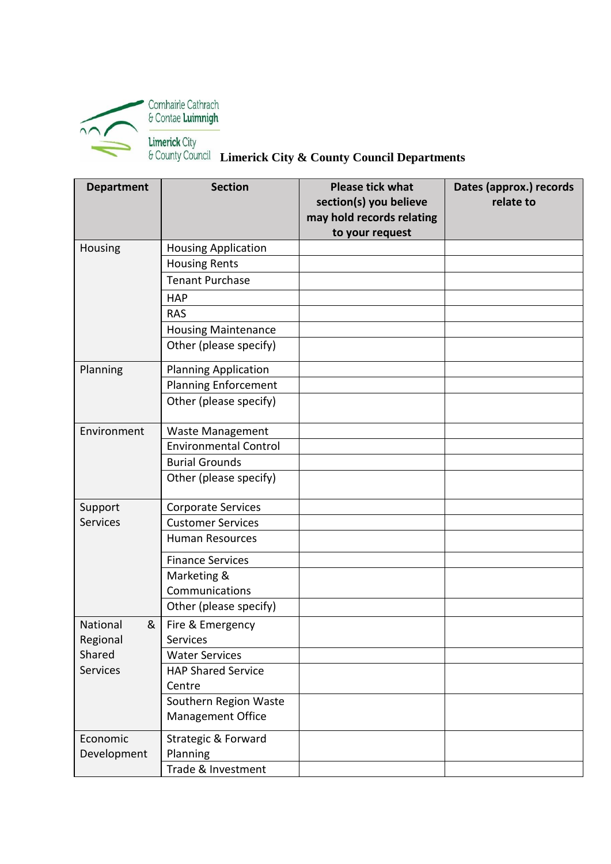

 **Limerick City & County Council Departments** 

| <b>Department</b> | <b>Section</b>               | <b>Please tick what</b><br>section(s) you believe<br>may hold records relating<br>to your request | Dates (approx.) records<br>relate to |
|-------------------|------------------------------|---------------------------------------------------------------------------------------------------|--------------------------------------|
| Housing           | <b>Housing Application</b>   |                                                                                                   |                                      |
|                   | <b>Housing Rents</b>         |                                                                                                   |                                      |
|                   | <b>Tenant Purchase</b>       |                                                                                                   |                                      |
|                   | <b>HAP</b>                   |                                                                                                   |                                      |
|                   | <b>RAS</b>                   |                                                                                                   |                                      |
|                   | <b>Housing Maintenance</b>   |                                                                                                   |                                      |
|                   | Other (please specify)       |                                                                                                   |                                      |
| Planning          | <b>Planning Application</b>  |                                                                                                   |                                      |
|                   | <b>Planning Enforcement</b>  |                                                                                                   |                                      |
|                   | Other (please specify)       |                                                                                                   |                                      |
| Environment       | <b>Waste Management</b>      |                                                                                                   |                                      |
|                   | <b>Environmental Control</b> |                                                                                                   |                                      |
|                   | <b>Burial Grounds</b>        |                                                                                                   |                                      |
|                   | Other (please specify)       |                                                                                                   |                                      |
| Support           | Corporate Services           |                                                                                                   |                                      |
| <b>Services</b>   | <b>Customer Services</b>     |                                                                                                   |                                      |
|                   | Human Resources              |                                                                                                   |                                      |
|                   | <b>Finance Services</b>      |                                                                                                   |                                      |
|                   | Marketing &                  |                                                                                                   |                                      |
|                   | Communications               |                                                                                                   |                                      |
|                   | Other (please specify)       |                                                                                                   |                                      |
| National<br>&     | Fire & Emergency             |                                                                                                   |                                      |
| Regional          | Services                     |                                                                                                   |                                      |
| Shared            | <b>Water Services</b>        |                                                                                                   |                                      |
| <b>Services</b>   | <b>HAP Shared Service</b>    |                                                                                                   |                                      |
|                   | Centre                       |                                                                                                   |                                      |
|                   | Southern Region Waste        |                                                                                                   |                                      |
|                   | <b>Management Office</b>     |                                                                                                   |                                      |
| Economic          | Strategic & Forward          |                                                                                                   |                                      |
| Development       | Planning                     |                                                                                                   |                                      |
|                   | Trade & Investment           |                                                                                                   |                                      |